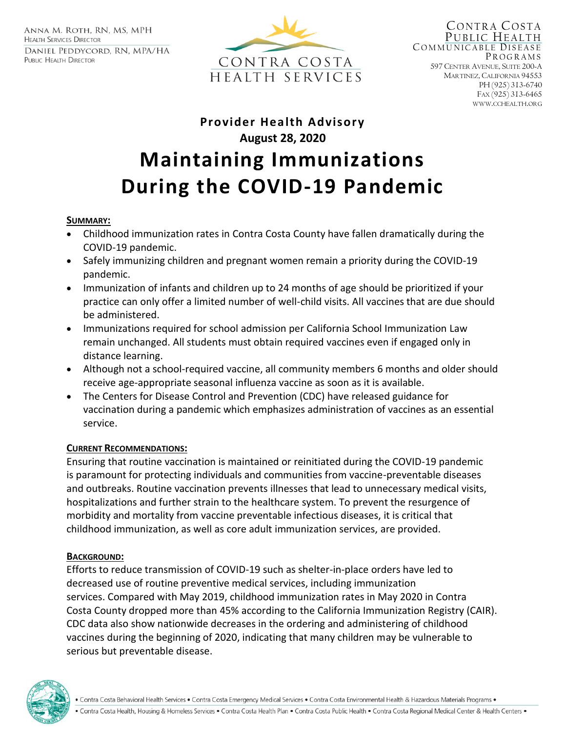ANNA M. ROTH, RN, MS, MPH **HEALTH SERVICES DIRECTOR** DANIEL PEDDYCORD, RN, MPA/HA PUBLIC HEALTH DIRECTOR



CONTRA COSTA PUBLIC HEALTH COMMUNICABLE DISEASE **PROGRAMS** 597 CENTER AVENUE, SUITE 200-A MARTINEZ, CALIFORNIA 94553 PH (925) 313-6740 FAX (925) 313-6465 WWW.CCHEALTH.ORG

# **Provider Health Advisory August 28, 2020 Maintaining Immunizations During the COVID-19 Pandemic**

#### **SUMMARY:**

- Childhood immunization rates in Contra Costa County have fallen dramatically during the COVID-19 pandemic.
- Safely immunizing children and pregnant women remain a priority during the COVID-19 pandemic.
- Immunization of infants and children up to 24 months of age should be prioritized if your practice can only offer a limited number of well-child visits. All vaccines that are due should be administered.
- Immunizations required for school admission per California School Immunization Law remain unchanged. All students must obtain required vaccines even if engaged only in distance learning.
- Although not a school-required vaccine, all community members 6 months and older should receive age-appropriate seasonal influenza vaccine as soon as it is available.
- The Centers for Disease Control and Prevention (CDC) have released guidance for vaccination during a pandemic which emphasizes administration of vaccines as an essential service.

#### **CURRENT RECOMMENDATIONS:**

Ensuring that routine vaccination is maintained or reinitiated during the COVID-19 pandemic is paramount for protecting individuals and communities from vaccine-preventable diseases and outbreaks. Routine vaccination prevents illnesses that lead to unnecessary medical visits, hospitalizations and further strain to the healthcare system. To prevent the resurgence of morbidity and mortality from vaccine preventable infectious diseases, it is critical that childhood immunization, as well as core adult immunization services, are provided.

## **BACKGROUND:**

Efforts to reduce transmission of COVID-19 such as shelter-in-place orders have led to decreased use of routine preventive medical services, including immunization services. Compared with May 2019, childhood immunization rates in May 2020 in Contra Costa County dropped more than 45% according to the California Immunization Registry (CAIR). CDC data also show nationwide decreases in the ordering and administering of childhood vaccines during the beginning of 2020, indicating that many children may be vulnerable to serious but preventable disease.